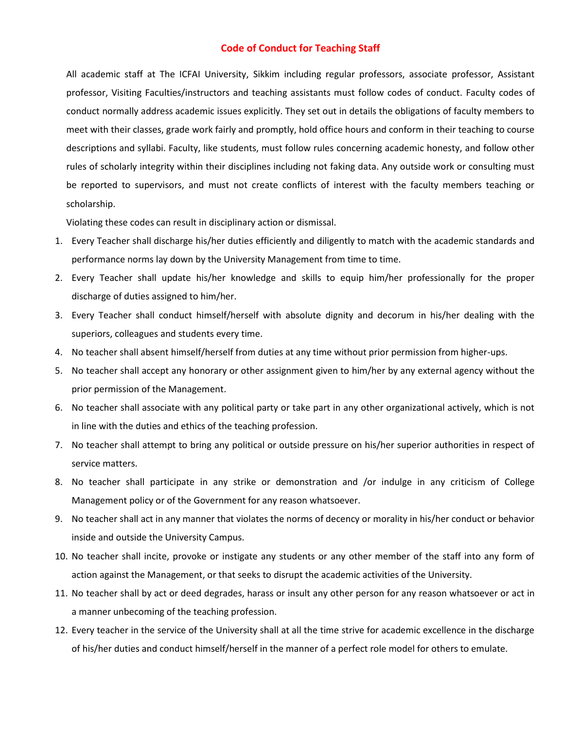## **Code of Conduct for Teaching Staff**

All academic staff at The ICFAI University, Sikkim including regular professors, associate professor, Assistant professor, Visiting Faculties/instructors and teaching assistants must follow codes of conduct. Faculty codes of conduct normally address academic issues explicitly. They set out in details the obligations of faculty members to meet with their classes, grade work fairly and promptly, hold office hours and conform in their teaching to course descriptions and syllabi. Faculty, like students, must follow rules concerning academic honesty, and follow other rules of scholarly integrity within their disciplines including not faking data. Any outside work or consulting must be reported to supervisors, and must not create conflicts of interest with the faculty members teaching or scholarship.

Violating these codes can result in disciplinary action or dismissal.

- 1. Every Teacher shall discharge his/her duties efficiently and diligently to match with the academic standards and performance norms lay down by the University Management from time to time.
- 2. Every Teacher shall update his/her knowledge and skills to equip him/her professionally for the proper discharge of duties assigned to him/her.
- 3. Every Teacher shall conduct himself/herself with absolute dignity and decorum in his/her dealing with the superiors, colleagues and students every time.
- 4. No teacher shall absent himself/herself from duties at any time without prior permission from higher-ups.
- 5. No teacher shall accept any honorary or other assignment given to him/her by any external agency without the prior permission of the Management.
- 6. No teacher shall associate with any political party or take part in any other organizational actively, which is not in line with the duties and ethics of the teaching profession.
- 7. No teacher shall attempt to bring any political or outside pressure on his/her superior authorities in respect of service matters.
- 8. No teacher shall participate in any strike or demonstration and /or indulge in any criticism of College Management policy or of the Government for any reason whatsoever.
- 9. No teacher shall act in any manner that violates the norms of decency or morality in his/her conduct or behavior inside and outside the University Campus.
- 10. No teacher shall incite, provoke or instigate any students or any other member of the staff into any form of action against the Management, or that seeks to disrupt the academic activities of the University.
- 11. No teacher shall by act or deed degrades, harass or insult any other person for any reason whatsoever or act in a manner unbecoming of the teaching profession.
- 12. Every teacher in the service of the University shall at all the time strive for academic excellence in the discharge of his/her duties and conduct himself/herself in the manner of a perfect role model for others to emulate.